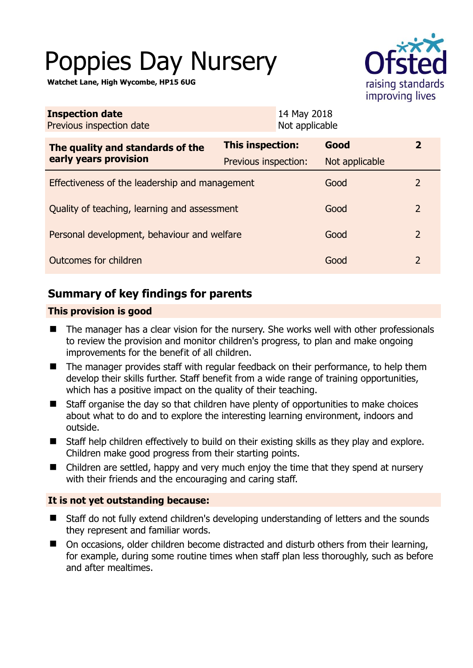# Poppies Day Nursery

**Watchet Lane, High Wycombe, HP15 6UG** 



| 14 May 2018<br><b>Inspection date</b><br>Not applicable<br>Previous inspection date |                         |                |                |
|-------------------------------------------------------------------------------------|-------------------------|----------------|----------------|
| The quality and standards of the<br>early years provision                           | <b>This inspection:</b> | Good           | $\mathbf{2}$   |
|                                                                                     | Previous inspection:    | Not applicable |                |
| Effectiveness of the leadership and management                                      |                         | Good           | 2              |
| Quality of teaching, learning and assessment                                        |                         | Good           | $\overline{2}$ |
| Personal development, behaviour and welfare                                         |                         | Good           | $\overline{2}$ |
| Outcomes for children                                                               |                         | Good           | $\overline{2}$ |

# **Summary of key findings for parents**

## **This provision is good**

- The manager has a clear vision for the nursery. She works well with other professionals to review the provision and monitor children's progress, to plan and make ongoing improvements for the benefit of all children.
- The manager provides staff with regular feedback on their performance, to help them develop their skills further. Staff benefit from a wide range of training opportunities, which has a positive impact on the quality of their teaching.
- Staff organise the day so that children have plenty of opportunities to make choices about what to do and to explore the interesting learning environment, indoors and outside.
- Staff help children effectively to build on their existing skills as they play and explore. Children make good progress from their starting points.
- Children are settled, happy and very much enjoy the time that they spend at nursery with their friends and the encouraging and caring staff.

## **It is not yet outstanding because:**

- Staff do not fully extend children's developing understanding of letters and the sounds they represent and familiar words.
- On occasions, older children become distracted and disturb others from their learning, for example, during some routine times when staff plan less thoroughly, such as before and after mealtimes.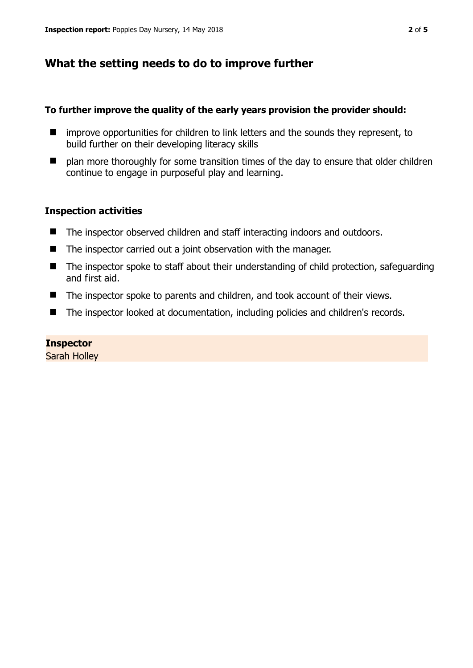# **What the setting needs to do to improve further**

#### **To further improve the quality of the early years provision the provider should:**

- improve opportunities for children to link letters and the sounds they represent, to build further on their developing literacy skills
- $\blacksquare$  plan more thoroughly for some transition times of the day to ensure that older children continue to engage in purposeful play and learning.

## **Inspection activities**

- The inspector observed children and staff interacting indoors and outdoors.
- The inspector carried out a joint observation with the manager.
- The inspector spoke to staff about their understanding of child protection, safeguarding and first aid.
- The inspector spoke to parents and children, and took account of their views.
- The inspector looked at documentation, including policies and children's records.

#### **Inspector**

Sarah Holley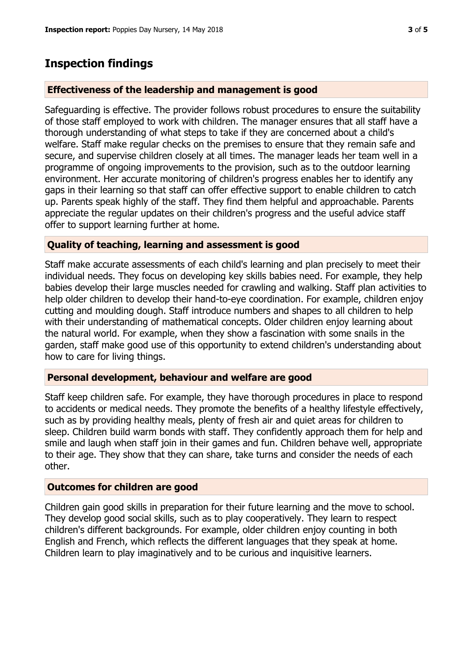# **Inspection findings**

## **Effectiveness of the leadership and management is good**

Safeguarding is effective. The provider follows robust procedures to ensure the suitability of those staff employed to work with children. The manager ensures that all staff have a thorough understanding of what steps to take if they are concerned about a child's welfare. Staff make regular checks on the premises to ensure that they remain safe and secure, and supervise children closely at all times. The manager leads her team well in a programme of ongoing improvements to the provision, such as to the outdoor learning environment. Her accurate monitoring of children's progress enables her to identify any gaps in their learning so that staff can offer effective support to enable children to catch up. Parents speak highly of the staff. They find them helpful and approachable. Parents appreciate the regular updates on their children's progress and the useful advice staff offer to support learning further at home.

## **Quality of teaching, learning and assessment is good**

Staff make accurate assessments of each child's learning and plan precisely to meet their individual needs. They focus on developing key skills babies need. For example, they help babies develop their large muscles needed for crawling and walking. Staff plan activities to help older children to develop their hand-to-eye coordination. For example, children enjoy cutting and moulding dough. Staff introduce numbers and shapes to all children to help with their understanding of mathematical concepts. Older children enjoy learning about the natural world. For example, when they show a fascination with some snails in the garden, staff make good use of this opportunity to extend children's understanding about how to care for living things.

#### **Personal development, behaviour and welfare are good**

Staff keep children safe. For example, they have thorough procedures in place to respond to accidents or medical needs. They promote the benefits of a healthy lifestyle effectively, such as by providing healthy meals, plenty of fresh air and quiet areas for children to sleep. Children build warm bonds with staff. They confidently approach them for help and smile and laugh when staff join in their games and fun. Children behave well, appropriate to their age. They show that they can share, take turns and consider the needs of each other.

#### **Outcomes for children are good**

Children gain good skills in preparation for their future learning and the move to school. They develop good social skills, such as to play cooperatively. They learn to respect children's different backgrounds. For example, older children enjoy counting in both English and French, which reflects the different languages that they speak at home. Children learn to play imaginatively and to be curious and inquisitive learners.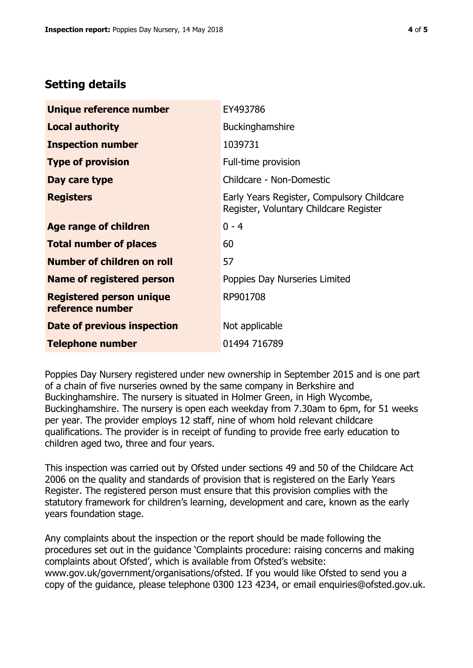# **Setting details**

| Unique reference number                             | EY493786                                                                             |  |
|-----------------------------------------------------|--------------------------------------------------------------------------------------|--|
| <b>Local authority</b>                              | <b>Buckinghamshire</b>                                                               |  |
| <b>Inspection number</b>                            | 1039731                                                                              |  |
| <b>Type of provision</b>                            | Full-time provision                                                                  |  |
| Day care type                                       | Childcare - Non-Domestic                                                             |  |
| <b>Registers</b>                                    | Early Years Register, Compulsory Childcare<br>Register, Voluntary Childcare Register |  |
| Age range of children                               | $0 - 4$                                                                              |  |
| <b>Total number of places</b>                       | 60                                                                                   |  |
| <b>Number of children on roll</b>                   | 57                                                                                   |  |
| Name of registered person                           | Poppies Day Nurseries Limited                                                        |  |
| <b>Registered person unique</b><br>reference number | RP901708                                                                             |  |
| Date of previous inspection                         | Not applicable                                                                       |  |
| <b>Telephone number</b>                             | 01494 716789                                                                         |  |

Poppies Day Nursery registered under new ownership in September 2015 and is one part of a chain of five nurseries owned by the same company in Berkshire and Buckinghamshire. The nursery is situated in Holmer Green, in High Wycombe, Buckinghamshire. The nursery is open each weekday from 7.30am to 6pm, for 51 weeks per year. The provider employs 12 staff, nine of whom hold relevant childcare qualifications. The provider is in receipt of funding to provide free early education to children aged two, three and four years.

This inspection was carried out by Ofsted under sections 49 and 50 of the Childcare Act 2006 on the quality and standards of provision that is registered on the Early Years Register. The registered person must ensure that this provision complies with the statutory framework for children's learning, development and care, known as the early years foundation stage.

Any complaints about the inspection or the report should be made following the procedures set out in the guidance 'Complaints procedure: raising concerns and making complaints about Ofsted', which is available from Ofsted's website: www.gov.uk/government/organisations/ofsted. If you would like Ofsted to send you a copy of the guidance, please telephone 0300 123 4234, or email enquiries@ofsted.gov.uk.